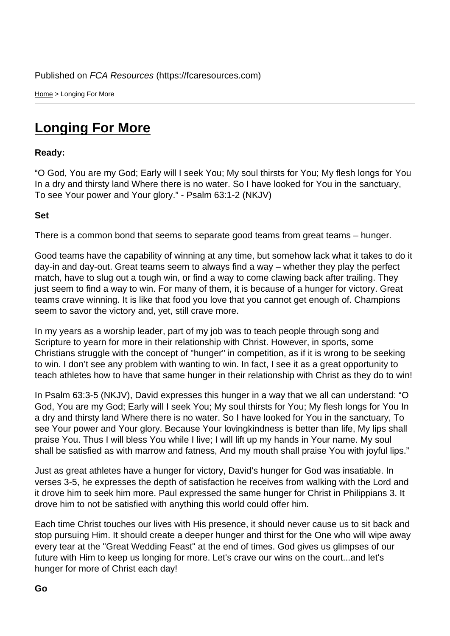Home > Longing For More

## [Lon](https://fcaresources.com/)ging For More

Ready:

["O God, You are my God; Ea](https://fcaresources.com/devotional/longing-more)rly will I seek You; My soul thirsts for You; My flesh longs for You In a dry and thirsty land Where there is no water. So I have looked for You in the sanctuary, To see Your power and Your glory." - Psalm 63:1-2 (NKJV)

Set

There is a common bond that seems to separate good teams from great teams – hunger.

Good teams have the capability of winning at any time, but somehow lack what it takes to do it day-in and day-out. Great teams seem to always find a way – whether they play the perfect match, have to slug out a tough win, or find a way to come clawing back after trailing. They just seem to find a way to win. For many of them, it is because of a hunger for victory. Great teams crave winning. It is like that food you love that you cannot get enough of. Champions seem to savor the victory and, yet, still crave more.

In my years as a worship leader, part of my job was to teach people through song and Scripture to yearn for more in their relationship with Christ. However, in sports, some Christians struggle with the concept of "hunger" in competition, as if it is wrong to be seeking to win. I don't see any problem with wanting to win. In fact, I see it as a great opportunity to teach athletes how to have that same hunger in their relationship with Christ as they do to win!

In Psalm 63:3-5 (NKJV), David expresses this hunger in a way that we all can understand: "O God, You are my God; Early will I seek You; My soul thirsts for You; My flesh longs for You In a dry and thirsty land Where there is no water. So I have looked for You in the sanctuary, To see Your power and Your glory. Because Your lovingkindness is better than life, My lips shall praise You. Thus I will bless You while I live; I will lift up my hands in Your name. My soul shall be satisfied as with marrow and fatness, And my mouth shall praise You with joyful lips."

Just as great athletes have a hunger for victory, David's hunger for God was insatiable. In verses 3-5, he expresses the depth of satisfaction he receives from walking with the Lord and it drove him to seek him more. Paul expressed the same hunger for Christ in Philippians 3. It drove him to not be satisfied with anything this world could offer him.

Each time Christ touches our lives with His presence, it should never cause us to sit back and stop pursuing Him. It should create a deeper hunger and thirst for the One who will wipe away every tear at the "Great Wedding Feast" at the end of times. God gives us glimpses of our future with Him to keep us longing for more. Let's crave our wins on the court...and let's hunger for more of Christ each day!